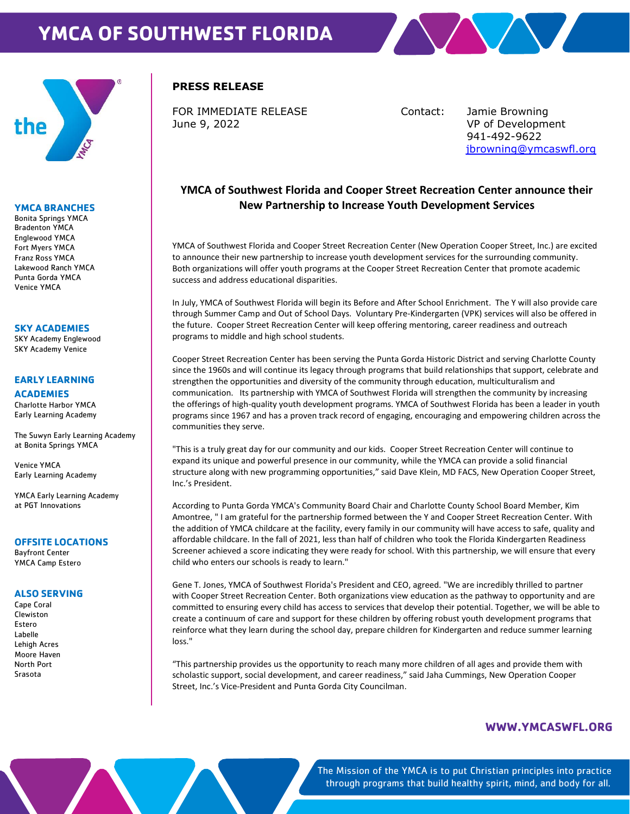# **YMCA OF SOUTHWEST FLORIDA**





## **YMCA BRANCHES**

Bonita Springs YMCA Bradenton YMCA Englewood YMCA Fort Myers YMCA Franz Ross YMCA Lakewood Ranch YMCA Punta Gorda YMCA Venice YMCA

## **SKY ACADEMIES**

SKY Academy Englewood SKY Academy Venice

## **EARLY LEARNING**

#### **ACADEMIES**

Charlotte Harbor YMCA Early Learning Academy

The Suwyn Early Learning Academy at Bonita Springs YMCA

Venice YMCA Early Learning Academy

YMCA Early Learning Academy at PGT Innovations

## **OFFSITE LOCATIONS**

Bayfront Center YMCA Camp Estero

## **ALSO SERVING**

Cape Coral Clewiston Estero Labelle Lehigh Acres Moore Haven North Port Srasota

## **PRESS RELEASE**

FOR IMMEDIATE RELEASE Contact: Jamie Browning June 9, 2022 VP of Development

 941-492-9622 [jbrowning@ymcaswfl.org](mailto:jbrowning@ymcaswfl.org)

# **YMCA of Southwest Florida and Cooper Street Recreation Center announce their New Partnership to Increase Youth Development Services**

YMCA of Southwest Florida and Cooper Street Recreation Center (New Operation Cooper Street, Inc.) are excited to announce their new partnership to increase youth development services for the surrounding community. Both organizations will offer youth programs at the Cooper Street Recreation Center that promote academic success and address educational disparities.

In July, YMCA of Southwest Florida will begin its Before and After School Enrichment. The Y will also provide care through Summer Camp and Out of School Days. Voluntary Pre-Kindergarten (VPK) services will also be offered in the future. Cooper Street Recreation Center will keep offering mentoring, career readiness and outreach programs to middle and high school students.

Cooper Street Recreation Center has been serving the Punta Gorda Historic District and serving Charlotte County since the 1960s and will continue its legacy through programs that build relationships that support, celebrate and strengthen the opportunities and diversity of the community through education, multiculturalism and communication. Its partnership with YMCA of Southwest Florida will strengthen the community by increasing the offerings of high-quality youth development programs. YMCA of Southwest Florida has been a leader in youth programs since 1967 and has a proven track record of engaging, encouraging and empowering children across the communities they serve.

"This is a truly great day for our community and our kids. Cooper Street Recreation Center will continue to expand its unique and powerful presence in our community, while the YMCA can provide a solid financial structure along with new programming opportunities," said Dave Klein, MD FACS, New Operation Cooper Street, Inc.'s President.

According to Punta Gorda YMCA's Community Board Chair and Charlotte County School Board Member, Kim Amontree, " I am grateful for the partnership formed between the Y and Cooper Street Recreation Center. With the addition of YMCA childcare at the facility, every family in our community will have access to safe, quality and affordable childcare. In the fall of 2021, less than half of children who took the Florida Kindergarten Readiness Screener achieved a score indicating they were ready for school. With this partnership, we will ensure that every child who enters our schools is ready to learn."

Gene T. Jones, YMCA of Southwest Florida's President and CEO, agreed. "We are incredibly thrilled to partner with Cooper Street Recreation Center. Both organizations view education as the pathway to opportunity and are committed to ensuring every child has access to services that develop their potential. Together, we will be able to create a continuum of care and support for these children by offering robust youth development programs that reinforce what they learn during the school day, prepare children for Kindergarten and reduce summer learning loss."

"This partnership provides us the opportunity to reach many more children of all ages and provide them with scholastic support, social development, and career readiness," said Jaha Cummings, New Operation Cooper Street, Inc.'s Vice-President and Punta Gorda City Councilman.

# **[WWW.YMCASWFL.ORG](http://www.ymcaswfl.org/)**

The Mission of the YMCA is to put Christian principles into practice through programs that build healthy spirit, mind, and body for all.